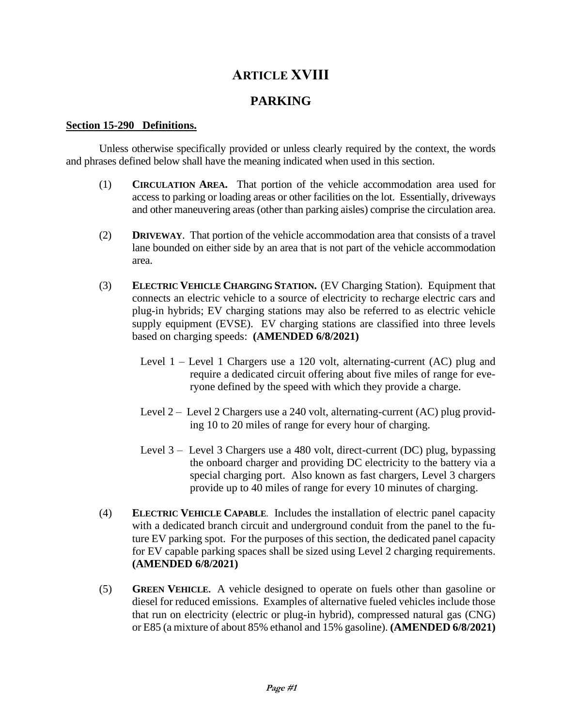# **ARTICLE XVIII**

# **PARKING**

#### **Section 15-290 Definitions.**

Unless otherwise specifically provided or unless clearly required by the context, the words and phrases defined below shall have the meaning indicated when used in this section.

- (1) **CIRCULATION AREA.** That portion of the vehicle accommodation area used for access to parking or loading areas or other facilities on the lot. Essentially, driveways and other maneuvering areas (other than parking aisles) comprise the circulation area.
- (2) **DRIVEWAY**. That portion of the vehicle accommodation area that consists of a travel lane bounded on either side by an area that is not part of the vehicle accommodation area.
- (3) **ELECTRIC VEHICLE CHARGING STATION.** (EV Charging Station). Equipment that connects an electric vehicle to a source of electricity to recharge electric cars and plug-in hybrids; EV charging stations may also be referred to as electric vehicle supply equipment (EVSE). EV charging stations are classified into three levels based on charging speeds: **(AMENDED 6/8/2021)**
	- Level 1 Level 1 Chargers use a 120 volt, alternating-current (AC) plug and require a dedicated circuit offering about five miles of range for everyone defined by the speed with which they provide a charge.
	- Level 2 Level 2 Chargers use a 240 volt, alternating-current (AC) plug providing 10 to 20 miles of range for every hour of charging.
	- Level 3 Level 3 Chargers use a 480 volt, direct-current (DC) plug, bypassing the onboard charger and providing DC electricity to the battery via a special charging port. Also known as fast chargers, Level 3 chargers provide up to 40 miles of range for every 10 minutes of charging.
- (4) **ELECTRIC VEHICLE CAPABLE**. Includes the installation of electric panel capacity with a dedicated branch circuit and underground conduit from the panel to the future EV parking spot. For the purposes of this section, the dedicated panel capacity for EV capable parking spaces shall be sized using Level 2 charging requirements. **(AMENDED 6/8/2021)**
- (5) **GREEN VEHICLE.** A vehicle designed to operate on fuels other than gasoline or diesel for reduced emissions. Examples of alternative fueled vehicles include those that run on electricity (electric or plug-in hybrid), compressed natural gas (CNG) or E85 (a mixture of about 85% ethanol and 15% gasoline). **(AMENDED 6/8/2021)**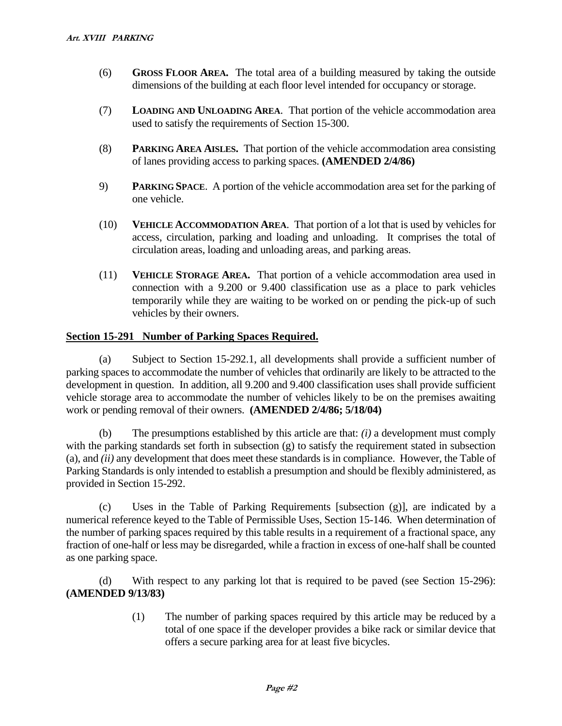- (6) **GROSS FLOOR AREA.** The total area of a building measured by taking the outside dimensions of the building at each floor level intended for occupancy or storage.
- (7) **LOADING AND UNLOADING AREA**. That portion of the vehicle accommodation area used to satisfy the requirements of Section 15-300.
- (8) **PARKING AREA AISLES.** That portion of the vehicle accommodation area consisting of lanes providing access to parking spaces. **(AMENDED 2/4/86)**
- 9) **PARKING SPACE**. A portion of the vehicle accommodation area set for the parking of one vehicle.
- (10) **VEHICLE ACCOMMODATION AREA**. That portion of a lot that is used by vehicles for access, circulation, parking and loading and unloading. It comprises the total of circulation areas, loading and unloading areas, and parking areas.
- (11) **VEHICLE STORAGE AREA.** That portion of a vehicle accommodation area used in connection with a 9.200 or 9.400 classification use as a place to park vehicles temporarily while they are waiting to be worked on or pending the pick-up of such vehicles by their owners.

## **Section 15-291 Number of Parking Spaces Required.**

(a) Subject to Section 15-292.1, all developments shall provide a sufficient number of parking spaces to accommodate the number of vehicles that ordinarily are likely to be attracted to the development in question. In addition, all 9.200 and 9.400 classification uses shall provide sufficient vehicle storage area to accommodate the number of vehicles likely to be on the premises awaiting work or pending removal of their owners. **(AMENDED 2/4/86; 5/18/04)**

(b) The presumptions established by this article are that: *(i)* a development must comply with the parking standards set forth in subsection (g) to satisfy the requirement stated in subsection (a), and *(ii)* any development that does meet these standards is in compliance. However, the Table of Parking Standards is only intended to establish a presumption and should be flexibly administered, as provided in Section 15-292.

(c) Uses in the Table of Parking Requirements [subsection (g)], are indicated by a numerical reference keyed to the Table of Permissible Uses, Section 15-146. When determination of the number of parking spaces required by this table results in a requirement of a fractional space, any fraction of one-half or less may be disregarded, while a fraction in excess of one-half shall be counted as one parking space.

(d) With respect to any parking lot that is required to be paved (see Section 15-296): **(AMENDED 9/13/83)**

> (1) The number of parking spaces required by this article may be reduced by a total of one space if the developer provides a bike rack or similar device that offers a secure parking area for at least five bicycles.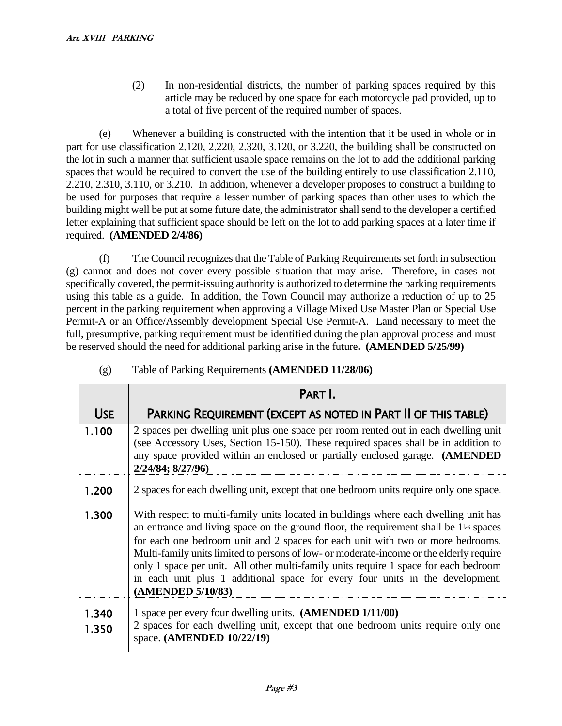(2) In non-residential districts, the number of parking spaces required by this article may be reduced by one space for each motorcycle pad provided, up to a total of five percent of the required number of spaces.

(e) Whenever a building is constructed with the intention that it be used in whole or in part for use classification 2.120, 2.220, 2.320, 3.120, or 3.220, the building shall be constructed on the lot in such a manner that sufficient usable space remains on the lot to add the additional parking spaces that would be required to convert the use of the building entirely to use classification 2.110, 2.210, 2.310, 3.110, or 3.210. In addition, whenever a developer proposes to construct a building to be used for purposes that require a lesser number of parking spaces than other uses to which the building might well be put at some future date, the administrator shall send to the developer a certified letter explaining that sufficient space should be left on the lot to add parking spaces at a later time if required. **(AMENDED 2/4/86)**

(f) The Council recognizes that the Table of Parking Requirements set forth in subsection (g) cannot and does not cover every possible situation that may arise. Therefore, in cases not specifically covered, the permit-issuing authority is authorized to determine the parking requirements using this table as a guide. In addition, the Town Council may authorize a reduction of up to 25 percent in the parking requirement when approving a Village Mixed Use Master Plan or Special Use Permit-A or an Office/Assembly development Special Use Permit-A. Land necessary to meet the full, presumptive, parking requirement must be identified during the plan approval process and must be reserved should the need for additional parking arise in the future**. (AMENDED 5/25/99)**

|                | PART I.                                                                                                                                                                                                                                                                                                                                                                                                                                                                                                                                                              |  |  |  |
|----------------|----------------------------------------------------------------------------------------------------------------------------------------------------------------------------------------------------------------------------------------------------------------------------------------------------------------------------------------------------------------------------------------------------------------------------------------------------------------------------------------------------------------------------------------------------------------------|--|--|--|
| <b>USE</b>     | PARKING REQUIREMENT (EXCEPT AS NOTED IN PART II OF THIS TABLE)                                                                                                                                                                                                                                                                                                                                                                                                                                                                                                       |  |  |  |
| 1.100          | 2 spaces per dwelling unit plus one space per room rented out in each dwelling unit<br>(see Accessory Uses, Section 15-150). These required spaces shall be in addition to<br>any space provided within an enclosed or partially enclosed garage. (AMENDED<br>2/24/84; 8/27/96)                                                                                                                                                                                                                                                                                      |  |  |  |
| 1.200          | 2 spaces for each dwelling unit, except that one bedroom units require only one space.                                                                                                                                                                                                                                                                                                                                                                                                                                                                               |  |  |  |
| 1.300          | With respect to multi-family units located in buildings where each dwelling unit has<br>an entrance and living space on the ground floor, the requirement shall be $1\frac{1}{2}$ spaces<br>for each one bedroom unit and 2 spaces for each unit with two or more bedrooms.<br>Multi-family units limited to persons of low- or moderate-income or the elderly require<br>only 1 space per unit. All other multi-family units require 1 space for each bedroom<br>in each unit plus 1 additional space for every four units in the development.<br>(AMENDED 5/10/83) |  |  |  |
| 1.340<br>1.350 | 1 space per every four dwelling units. (AMENDED 1/11/00)<br>2 spaces for each dwelling unit, except that one bedroom units require only one<br>space. (AMENDED 10/22/19)                                                                                                                                                                                                                                                                                                                                                                                             |  |  |  |

(g) Table of Parking Requirements **(AMENDED 11/28/06)**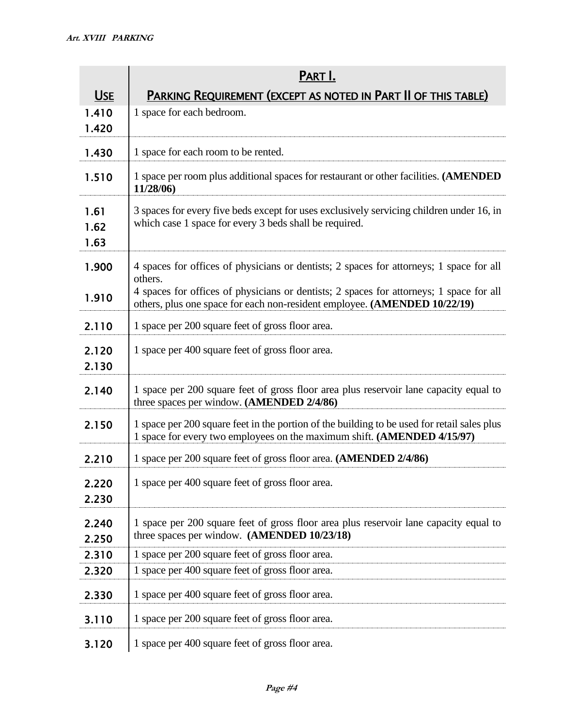|                      | PART I.                                                                                                                                                                                                                                                                    |  |  |  |
|----------------------|----------------------------------------------------------------------------------------------------------------------------------------------------------------------------------------------------------------------------------------------------------------------------|--|--|--|
| <b>USE</b>           | PARKING REQUIREMENT (EXCEPT AS NOTED IN PART II OF THIS TABLE)                                                                                                                                                                                                             |  |  |  |
| 1.410<br>1.420       | 1 space for each bedroom.                                                                                                                                                                                                                                                  |  |  |  |
| 1.430                | 1 space for each room to be rented.                                                                                                                                                                                                                                        |  |  |  |
| 1.510                | 1 space per room plus additional spaces for restaurant or other facilities. (AMENDED<br>11/28/06)                                                                                                                                                                          |  |  |  |
| 1.61<br>1.62<br>1.63 | 3 spaces for every five beds except for uses exclusively servicing children under 16, in<br>which case 1 space for every 3 beds shall be required.                                                                                                                         |  |  |  |
| 1.900<br>1.910       | 4 spaces for offices of physicians or dentists; 2 spaces for attorneys; 1 space for all<br>others.<br>4 spaces for offices of physicians or dentists; 2 spaces for attorneys; 1 space for all<br>others, plus one space for each non-resident employee. (AMENDED 10/22/19) |  |  |  |
| 2.110                | 1 space per 200 square feet of gross floor area.                                                                                                                                                                                                                           |  |  |  |
| 2.120<br>2.130       | 1 space per 400 square feet of gross floor area.                                                                                                                                                                                                                           |  |  |  |
| 2.140                | 1 space per 200 square feet of gross floor area plus reservoir lane capacity equal to<br>three spaces per window. (AMENDED 2/4/86)                                                                                                                                         |  |  |  |
| 2.150                | 1 space per 200 square feet in the portion of the building to be used for retail sales plus<br>1 space for every two employees on the maximum shift. (AMENDED 4/15/97)                                                                                                     |  |  |  |
| 2.210                | 1 space per 200 square feet of gross floor area. (AMENDED 2/4/86)                                                                                                                                                                                                          |  |  |  |
| 2.220<br>2.230       | 1 space per 400 square feet of gross floor area.                                                                                                                                                                                                                           |  |  |  |
| 2.240<br>2.250       | 1 space per 200 square feet of gross floor area plus reservoir lane capacity equal to<br>three spaces per window. (AMENDED 10/23/18)                                                                                                                                       |  |  |  |
| 2.310                | 1 space per 200 square feet of gross floor area.                                                                                                                                                                                                                           |  |  |  |
| 2.320                | 1 space per 400 square feet of gross floor area.                                                                                                                                                                                                                           |  |  |  |
| 2.330                | 1 space per 400 square feet of gross floor area.                                                                                                                                                                                                                           |  |  |  |
| 3.110                | 1 space per 200 square feet of gross floor area.                                                                                                                                                                                                                           |  |  |  |
| 3.120                | 1 space per 400 square feet of gross floor area.                                                                                                                                                                                                                           |  |  |  |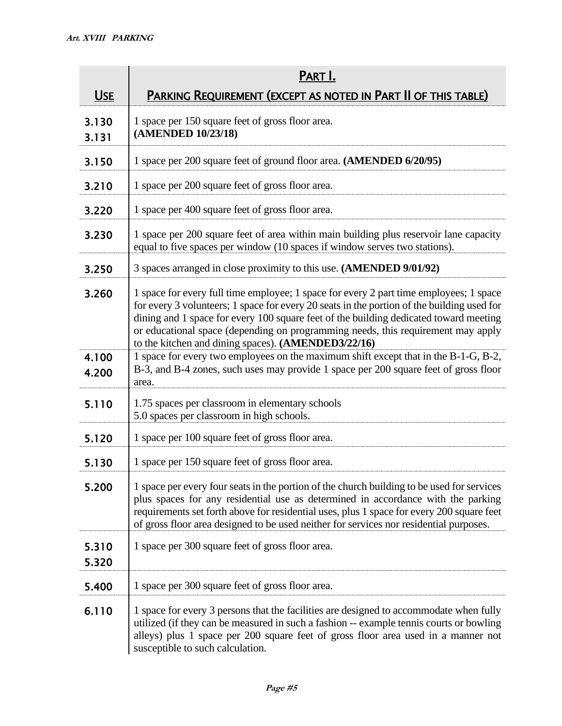|                | PART I.                                                                                                                                                                                                                                                                                                                                                                                                                  |  |  |  |
|----------------|--------------------------------------------------------------------------------------------------------------------------------------------------------------------------------------------------------------------------------------------------------------------------------------------------------------------------------------------------------------------------------------------------------------------------|--|--|--|
| <u>USE</u>     | PARKING REQUIREMENT (EXCEPT AS NOTED IN PART II OF THIS TABLE)                                                                                                                                                                                                                                                                                                                                                           |  |  |  |
| 3.130<br>3.131 | 1 space per 150 square feet of gross floor area.<br>(AMENDED 10/23/18)                                                                                                                                                                                                                                                                                                                                                   |  |  |  |
| 3.150          | 1 space per 200 square feet of ground floor area. (AMENDED 6/20/95)                                                                                                                                                                                                                                                                                                                                                      |  |  |  |
| 3.210          | 1 space per 200 square feet of gross floor area.                                                                                                                                                                                                                                                                                                                                                                         |  |  |  |
| 3.220          | 1 space per 400 square feet of gross floor area.                                                                                                                                                                                                                                                                                                                                                                         |  |  |  |
| 3.230          | 1 space per 200 square feet of area within main building plus reservoir lane capacity<br>equal to five spaces per window (10 spaces if window serves two stations).                                                                                                                                                                                                                                                      |  |  |  |
| 3.250          | 3 spaces arranged in close proximity to this use. (AMENDED 9/01/92)                                                                                                                                                                                                                                                                                                                                                      |  |  |  |
| 3.260          | 1 space for every full time employee; 1 space for every 2 part time employees; 1 space<br>for every 3 volunteers; 1 space for every 20 seats in the portion of the building used for<br>dining and 1 space for every 100 square feet of the building dedicated toward meeting<br>or educational space (depending on programming needs, this requirement may apply<br>to the kitchen and dining spaces). (AMENDED3/22/16) |  |  |  |
| 4.100<br>4.200 | 1 space for every two employees on the maximum shift except that in the B-1-G, B-2,<br>B-3, and B-4 zones, such uses may provide 1 space per 200 square feet of gross floor<br>area.                                                                                                                                                                                                                                     |  |  |  |
| 5.110          | 1.75 spaces per classroom in elementary schools<br>5.0 spaces per classroom in high schools.                                                                                                                                                                                                                                                                                                                             |  |  |  |
| 5.120          | 1 space per 100 square feet of gross floor area.                                                                                                                                                                                                                                                                                                                                                                         |  |  |  |
| 5.130          | 1 space per 150 square feet of gross floor area.                                                                                                                                                                                                                                                                                                                                                                         |  |  |  |
| 5.200          | 1 space per every four seats in the portion of the church building to be used for services<br>plus spaces for any residential use as determined in accordance with the parking<br>requirements set forth above for residential uses, plus 1 space for every 200 square feet<br>of gross floor area designed to be used neither for services nor residential purposes.                                                    |  |  |  |
| 5.310<br>5.320 | 1 space per 300 square feet of gross floor area.                                                                                                                                                                                                                                                                                                                                                                         |  |  |  |
| 5.400          | 1 space per 300 square feet of gross floor area.                                                                                                                                                                                                                                                                                                                                                                         |  |  |  |
| 6.110          | 1 space for every 3 persons that the facilities are designed to accommodate when fully<br>utilized (if they can be measured in such a fashion -- example tennis courts or bowling<br>alleys) plus 1 space per 200 square feet of gross floor area used in a manner not<br>susceptible to such calculation.                                                                                                               |  |  |  |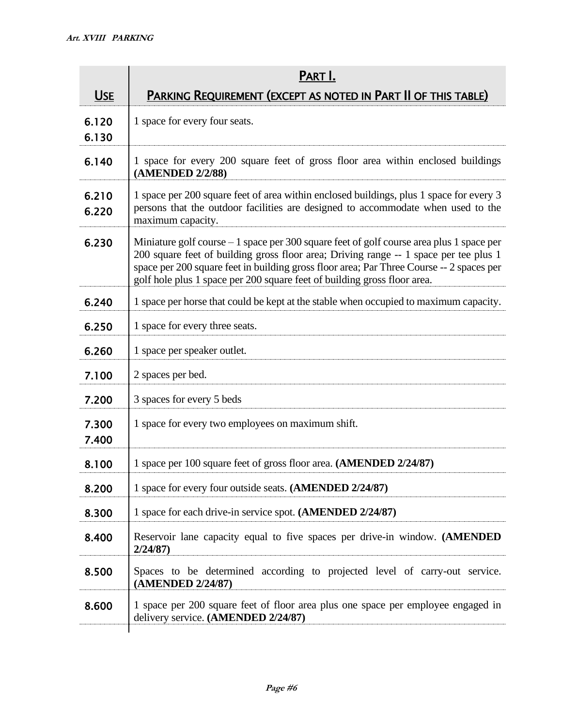|                | PART I.                                                                                                                                                                                                                                                                                                                                                    |  |  |  |
|----------------|------------------------------------------------------------------------------------------------------------------------------------------------------------------------------------------------------------------------------------------------------------------------------------------------------------------------------------------------------------|--|--|--|
| <b>USE</b>     | PARKING REQUIREMENT (EXCEPT AS NOTED IN PART II OF THIS TABLE)                                                                                                                                                                                                                                                                                             |  |  |  |
| 6.120<br>6.130 | 1 space for every four seats.                                                                                                                                                                                                                                                                                                                              |  |  |  |
| 6.140          | 1 space for every 200 square feet of gross floor area within enclosed buildings<br>(AMENDED 2/2/88)                                                                                                                                                                                                                                                        |  |  |  |
| 6.210<br>6.220 | 1 space per 200 square feet of area within enclosed buildings, plus 1 space for every 3<br>persons that the outdoor facilities are designed to accommodate when used to the<br>maximum capacity.                                                                                                                                                           |  |  |  |
| 6.230          | Miniature golf course $-1$ space per 300 square feet of golf course area plus 1 space per<br>200 square feet of building gross floor area; Driving range -- 1 space per tee plus 1<br>space per 200 square feet in building gross floor area; Par Three Course -- 2 spaces per<br>golf hole plus 1 space per 200 square feet of building gross floor area. |  |  |  |
| 6.240          | 1 space per horse that could be kept at the stable when occupied to maximum capacity.                                                                                                                                                                                                                                                                      |  |  |  |
| 6.250          | 1 space for every three seats.                                                                                                                                                                                                                                                                                                                             |  |  |  |
| 6.260          | 1 space per speaker outlet.                                                                                                                                                                                                                                                                                                                                |  |  |  |
| 7.100          | 2 spaces per bed.                                                                                                                                                                                                                                                                                                                                          |  |  |  |
| 7.200          | 3 spaces for every 5 beds                                                                                                                                                                                                                                                                                                                                  |  |  |  |
| 7.300<br>7.400 | 1 space for every two employees on maximum shift.                                                                                                                                                                                                                                                                                                          |  |  |  |
| 8.100          | 1 space per 100 square feet of gross floor area. (AMENDED 2/24/87)                                                                                                                                                                                                                                                                                         |  |  |  |
| 8.200          | 1 space for every four outside seats. (AMENDED 2/24/87)                                                                                                                                                                                                                                                                                                    |  |  |  |
| 8.300          | 1 space for each drive-in service spot. (AMENDED 2/24/87)                                                                                                                                                                                                                                                                                                  |  |  |  |
| 8.400          | Reservoir lane capacity equal to five spaces per drive-in window. (AMENDED<br>2/24/87                                                                                                                                                                                                                                                                      |  |  |  |
| 8.500          | Spaces to be determined according to projected level of carry-out service.<br>(AMENDED 2/24/87)                                                                                                                                                                                                                                                            |  |  |  |
| 8.600          | 1 space per 200 square feet of floor area plus one space per employee engaged in<br>delivery service. (AMENDED 2/24/87)                                                                                                                                                                                                                                    |  |  |  |
|                |                                                                                                                                                                                                                                                                                                                                                            |  |  |  |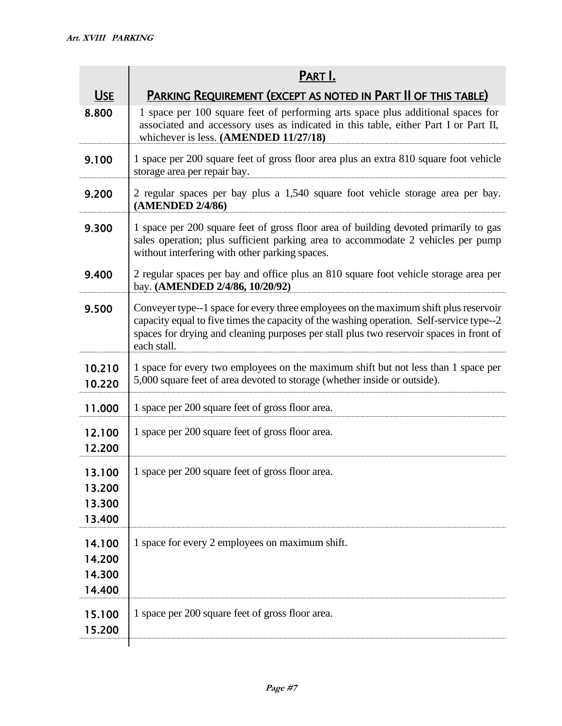|                                      | PART I.                                                                                                                                                                                                                                                                                    |  |  |
|--------------------------------------|--------------------------------------------------------------------------------------------------------------------------------------------------------------------------------------------------------------------------------------------------------------------------------------------|--|--|
| <b>USE</b>                           | PARKING REQUIREMENT (EXCEPT AS NOTED IN PART II OF THIS TABLE)                                                                                                                                                                                                                             |  |  |
| 8.800                                | 1 space per 100 square feet of performing arts space plus additional spaces for<br>associated and accessory uses as indicated in this table, either Part I or Part II,<br>whichever is less. (AMENDED 11/27/18)                                                                            |  |  |
| 9.100                                | 1 space per 200 square feet of gross floor area plus an extra 810 square foot vehicle<br>storage area per repair bay.                                                                                                                                                                      |  |  |
| 9.200                                | 2 regular spaces per bay plus a 1,540 square foot vehicle storage area per bay.<br>(AMENDED 2/4/86)                                                                                                                                                                                        |  |  |
| 9.300                                | 1 space per 200 square feet of gross floor area of building devoted primarily to gas<br>sales operation; plus sufficient parking area to accommodate 2 vehicles per pump<br>without interfering with other parking spaces.                                                                 |  |  |
| 9.400                                | 2 regular spaces per bay and office plus an 810 square foot vehicle storage area per<br>bay. (AMENDED 2/4/86, 10/20/92)                                                                                                                                                                    |  |  |
| 9.500                                | Conveyer type--1 space for every three employees on the maximum shift plus reservoir<br>capacity equal to five times the capacity of the washing operation. Self-service type--2<br>spaces for drying and cleaning purposes per stall plus two reservoir spaces in front of<br>each stall. |  |  |
| 10.210<br>10.220                     | 1 space for every two employees on the maximum shift but not less than 1 space per<br>5,000 square feet of area devoted to storage (whether inside or outside).                                                                                                                            |  |  |
| 11.000                               | 1 space per 200 square feet of gross floor area.                                                                                                                                                                                                                                           |  |  |
| 12.100<br>12.200                     | 1 space per 200 square feet of gross floor area.                                                                                                                                                                                                                                           |  |  |
| 13.100<br>13.200<br>13.300<br>13.400 | 1 space per 200 square feet of gross floor area.                                                                                                                                                                                                                                           |  |  |
| 14.100<br>14.200<br>14.300<br>14.400 | 1 space for every 2 employees on maximum shift.                                                                                                                                                                                                                                            |  |  |
| 15.100<br>15.200                     | 1 space per 200 square feet of gross floor area.                                                                                                                                                                                                                                           |  |  |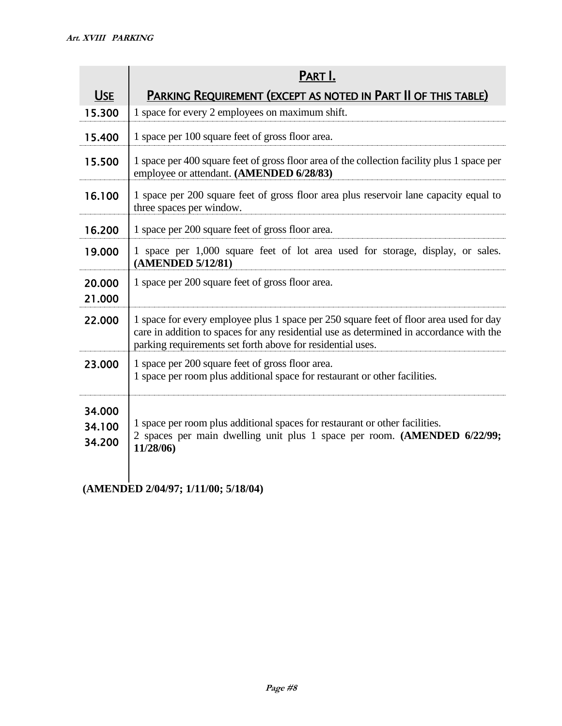|                            | PART I.                                                                                                                                                                                                                                         |  |  |  |
|----------------------------|-------------------------------------------------------------------------------------------------------------------------------------------------------------------------------------------------------------------------------------------------|--|--|--|
| <b>USE</b>                 | PARKING REQUIREMENT (EXCEPT AS NOTED IN PART II OF THIS TABLE)                                                                                                                                                                                  |  |  |  |
| 15.300                     | 1 space for every 2 employees on maximum shift.                                                                                                                                                                                                 |  |  |  |
| 15.400                     | 1 space per 100 square feet of gross floor area.                                                                                                                                                                                                |  |  |  |
| 15.500                     | 1 space per 400 square feet of gross floor area of the collection facility plus 1 space per<br>employee or attendant. (AMENDED 6/28/83)                                                                                                         |  |  |  |
| 16.100                     | 1 space per 200 square feet of gross floor area plus reservoir lane capacity equal to<br>three spaces per window.                                                                                                                               |  |  |  |
| 16.200                     | 1 space per 200 square feet of gross floor area.                                                                                                                                                                                                |  |  |  |
| 19.000                     | 1 space per 1,000 square feet of lot area used for storage, display, or sales.<br>(AMENDED 5/12/81)                                                                                                                                             |  |  |  |
| 20,000<br>21.000           | 1 space per 200 square feet of gross floor area.                                                                                                                                                                                                |  |  |  |
| 22.000                     | 1 space for every employee plus 1 space per 250 square feet of floor area used for day<br>care in addition to spaces for any residential use as determined in accordance with the<br>parking requirements set forth above for residential uses. |  |  |  |
| 23.000                     | 1 space per 200 square feet of gross floor area.<br>1 space per room plus additional space for restaurant or other facilities.                                                                                                                  |  |  |  |
| 34.000<br>34.100<br>34.200 | 1 space per room plus additional spaces for restaurant or other facilities.<br>2 spaces per main dwelling unit plus 1 space per room. (AMENDED 6/22/99;<br>11/28/06)                                                                            |  |  |  |

**(AMENDED 2/04/97; 1/11/00; 5/18/04)**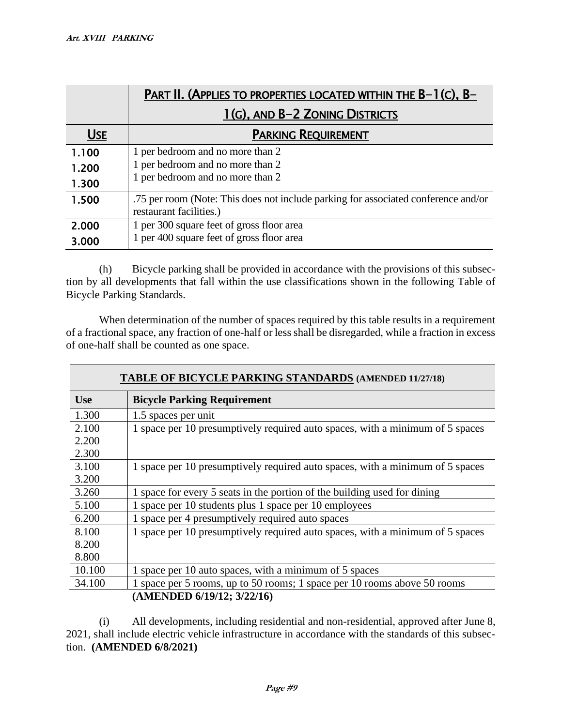|            | PART II. (APPLIES TO PROPERTIES LOCATED WITHIN THE B-1(C), B-                      |  |  |  |
|------------|------------------------------------------------------------------------------------|--|--|--|
|            | 1(G), AND B-2 ZONING DISTRICTS                                                     |  |  |  |
| <b>USE</b> | <b>PARKING REQUIREMENT</b>                                                         |  |  |  |
| 1.100      | 1 per bedroom and no more than 2                                                   |  |  |  |
| 1.200      | 1 per bedroom and no more than 2                                                   |  |  |  |
| 1.300      | 1 per bedroom and no more than 2                                                   |  |  |  |
| 1.500      | .75 per room (Note: This does not include parking for associated conference and/or |  |  |  |
|            | restaurant facilities.)                                                            |  |  |  |
| 2,000      | 1 per 300 square feet of gross floor area                                          |  |  |  |
| 3.000      | 1 per 400 square feet of gross floor area                                          |  |  |  |

(h) Bicycle parking shall be provided in accordance with the provisions of this subsection by all developments that fall within the use classifications shown in the following Table of Bicycle Parking Standards.

When determination of the number of spaces required by this table results in a requirement of a fractional space, any fraction of one-half or less shall be disregarded, while a fraction in excess of one-half shall be counted as one space.

**TABLE OF BICYCLE PARKING STANDARDS (AMENDED 11/27/18)**

| <b>Use</b>                 | <b>Bicycle Parking Requirement</b>                                            |  |  |
|----------------------------|-------------------------------------------------------------------------------|--|--|
| 1.300                      | 1.5 spaces per unit                                                           |  |  |
| 2.100                      | 1 space per 10 presumptively required auto spaces, with a minimum of 5 spaces |  |  |
| 2.200                      |                                                                               |  |  |
| 2.300                      |                                                                               |  |  |
| 3.100                      | 1 space per 10 presumptively required auto spaces, with a minimum of 5 spaces |  |  |
| 3.200                      |                                                                               |  |  |
| 3.260                      | 1 space for every 5 seats in the portion of the building used for dining      |  |  |
| 5.100                      | 1 space per 10 students plus 1 space per 10 employees                         |  |  |
| 6.200                      | 1 space per 4 presumptively required auto spaces                              |  |  |
| 8.100                      | 1 space per 10 presumptively required auto spaces, with a minimum of 5 spaces |  |  |
| 8.200                      |                                                                               |  |  |
| 8.800                      |                                                                               |  |  |
| 10.100                     | 1 space per 10 auto spaces, with a minimum of 5 spaces                        |  |  |
| 34.100                     | 1 space per 5 rooms, up to 50 rooms; 1 space per 10 rooms above 50 rooms      |  |  |
| (AMENDED 6/19/12; 3/22/16) |                                                                               |  |  |

# (i) All developments, including residential and non-residential, approved after June 8, 2021, shall include electric vehicle infrastructure in accordance with the standards of this subsection. **(AMENDED 6/8/2021)**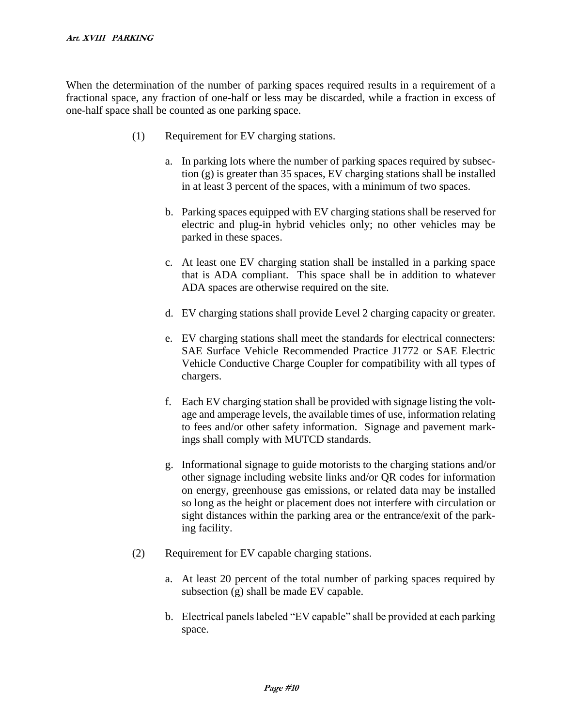When the determination of the number of parking spaces required results in a requirement of a fractional space, any fraction of one-half or less may be discarded, while a fraction in excess of one-half space shall be counted as one parking space.

- (1) Requirement for EV charging stations.
	- a. In parking lots where the number of parking spaces required by subsection (g) is greater than 35 spaces, EV charging stations shall be installed in at least 3 percent of the spaces, with a minimum of two spaces.
	- b. Parking spaces equipped with EV charging stations shall be reserved for electric and plug-in hybrid vehicles only; no other vehicles may be parked in these spaces.
	- c. At least one EV charging station shall be installed in a parking space that is ADA compliant. This space shall be in addition to whatever ADA spaces are otherwise required on the site.
	- d. EV charging stations shall provide Level 2 charging capacity or greater.
	- e. EV charging stations shall meet the standards for electrical connecters: SAE Surface Vehicle Recommended Practice J1772 or SAE Electric Vehicle Conductive Charge Coupler for compatibility with all types of chargers.
	- f. Each EV charging station shall be provided with signage listing the voltage and amperage levels, the available times of use, information relating to fees and/or other safety information. Signage and pavement markings shall comply with MUTCD standards.
	- g. Informational signage to guide motorists to the charging stations and/or other signage including website links and/or QR codes for information on energy, greenhouse gas emissions, or related data may be installed so long as the height or placement does not interfere with circulation or sight distances within the parking area or the entrance/exit of the parking facility.
- (2) Requirement for EV capable charging stations.
	- a. At least 20 percent of the total number of parking spaces required by subsection (g) shall be made EV capable.
	- b. Electrical panels labeled "EV capable" shall be provided at each parking space.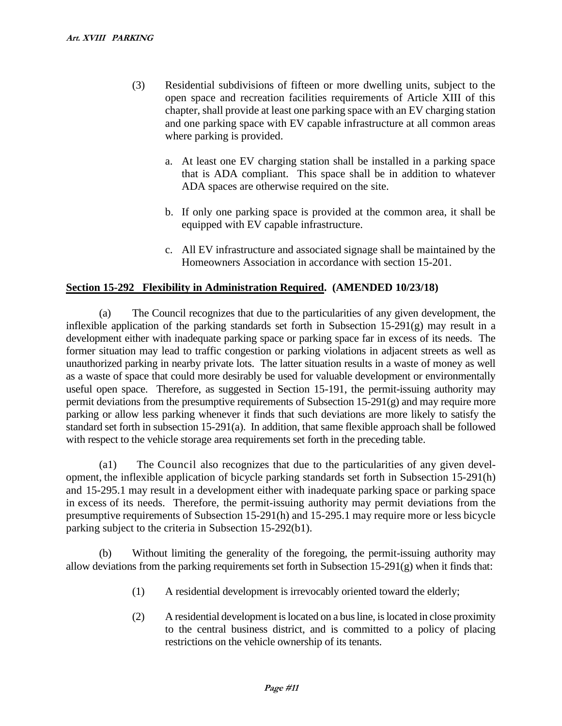- (3) Residential subdivisions of fifteen or more dwelling units, subject to the open space and recreation facilities requirements of Article XIII of this chapter, shall provide at least one parking space with an EV charging station and one parking space with EV capable infrastructure at all common areas where parking is provided.
	- a. At least one EV charging station shall be installed in a parking space that is ADA compliant. This space shall be in addition to whatever ADA spaces are otherwise required on the site.
	- b. If only one parking space is provided at the common area, it shall be equipped with EV capable infrastructure.
	- c. All EV infrastructure and associated signage shall be maintained by the Homeowners Association in accordance with section 15-201.

## **Section 15-292 Flexibility in Administration Required. (AMENDED 10/23/18)**

(a) The Council recognizes that due to the particularities of any given development, the inflexible application of the parking standards set forth in Subsection  $15-291(g)$  may result in a development either with inadequate parking space or parking space far in excess of its needs. The former situation may lead to traffic congestion or parking violations in adjacent streets as well as unauthorized parking in nearby private lots. The latter situation results in a waste of money as well as a waste of space that could more desirably be used for valuable development or environmentally useful open space. Therefore, as suggested in Section 15-191, the permit-issuing authority may permit deviations from the presumptive requirements of Subsection 15-291(g) and may require more parking or allow less parking whenever it finds that such deviations are more likely to satisfy the standard set forth in subsection 15-291(a). In addition, that same flexible approach shall be followed with respect to the vehicle storage area requirements set forth in the preceding table.

(a1) The Council also recognizes that due to the particularities of any given development, the inflexible application of bicycle parking standards set forth in Subsection 15-291(h) and 15-295.1 may result in a development either with inadequate parking space or parking space in excess of its needs. Therefore, the permit-issuing authority may permit deviations from the presumptive requirements of Subsection 15-291(h) and 15-295.1 may require more or less bicycle parking subject to the criteria in Subsection 15-292(b1).

(b) Without limiting the generality of the foregoing, the permit-issuing authority may allow deviations from the parking requirements set forth in Subsection 15-291(g) when it finds that:

- (1) A residential development is irrevocably oriented toward the elderly;
- (2) A residential development is located on a bus line, is located in close proximity to the central business district, and is committed to a policy of placing restrictions on the vehicle ownership of its tenants.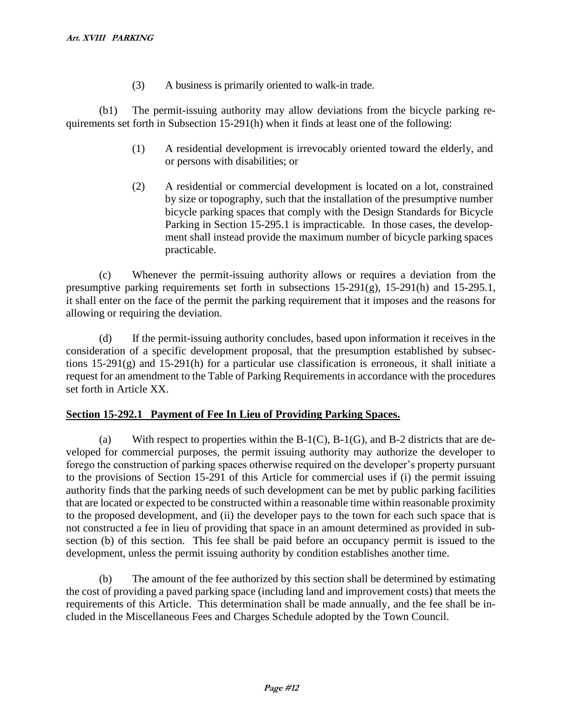(3) A business is primarily oriented to walk-in trade.

(b1) The permit-issuing authority may allow deviations from the bicycle parking requirements set forth in Subsection 15-291(h) when it finds at least one of the following:

- (1) A residential development is irrevocably oriented toward the elderly, and or persons with disabilities; or
- (2) A residential or commercial development is located on a lot, constrained by size or topography, such that the installation of the presumptive number bicycle parking spaces that comply with the Design Standards for Bicycle Parking in Section 15-295.1 is impracticable. In those cases, the development shall instead provide the maximum number of bicycle parking spaces practicable.

(c) Whenever the permit-issuing authority allows or requires a deviation from the presumptive parking requirements set forth in subsections 15-291(g), 15-291(h) and 15-295.1, it shall enter on the face of the permit the parking requirement that it imposes and the reasons for allowing or requiring the deviation.

(d) If the permit-issuing authority concludes, based upon information it receives in the consideration of a specific development proposal, that the presumption established by subsections 15-291(g) and 15-291(h) for a particular use classification is erroneous, it shall initiate a request for an amendment to the Table of Parking Requirements in accordance with the procedures set forth in Article XX.

## **Section 15-292.1 Payment of Fee In Lieu of Providing Parking Spaces.**

(a) With respect to properties within the  $B-1(C)$ ,  $B-1(G)$ , and  $B-2$  districts that are developed for commercial purposes, the permit issuing authority may authorize the developer to forego the construction of parking spaces otherwise required on the developer's property pursuant to the provisions of Section 15-291 of this Article for commercial uses if (i) the permit issuing authority finds that the parking needs of such development can be met by public parking facilities that are located or expected to be constructed within a reasonable time within reasonable proximity to the proposed development, and (ii) the developer pays to the town for each such space that is not constructed a fee in lieu of providing that space in an amount determined as provided in subsection (b) of this section. This fee shall be paid before an occupancy permit is issued to the development, unless the permit issuing authority by condition establishes another time.

(b) The amount of the fee authorized by this section shall be determined by estimating the cost of providing a paved parking space (including land and improvement costs) that meets the requirements of this Article. This determination shall be made annually, and the fee shall be included in the Miscellaneous Fees and Charges Schedule adopted by the Town Council.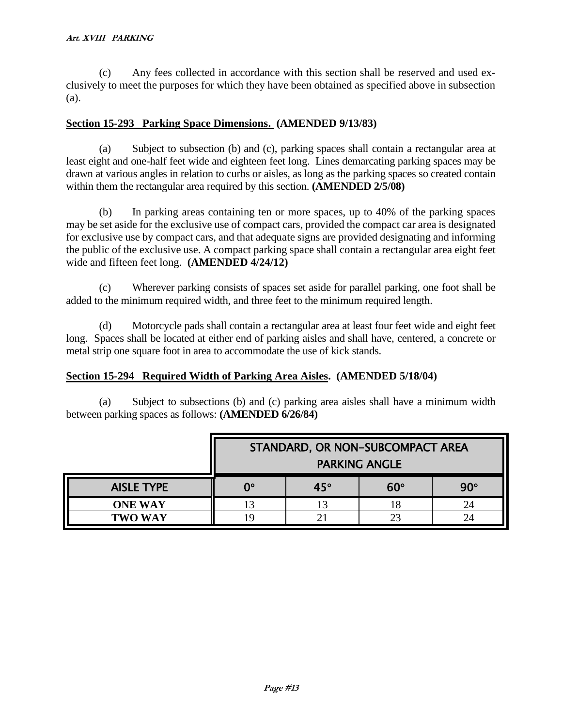(c) Any fees collected in accordance with this section shall be reserved and used exclusively to meet the purposes for which they have been obtained as specified above in subsection (a).

#### **Section 15-293 Parking Space Dimensions. (AMENDED 9/13/83)**

(a) Subject to subsection (b) and (c), parking spaces shall contain a rectangular area at least eight and one-half feet wide and eighteen feet long. Lines demarcating parking spaces may be drawn at various angles in relation to curbs or aisles, as long as the parking spaces so created contain within them the rectangular area required by this section. **(AMENDED 2/5/08)**

(b) In parking areas containing ten or more spaces, up to 40% of the parking spaces may be set aside for the exclusive use of compact cars, provided the compact car area is designated for exclusive use by compact cars, and that adequate signs are provided designating and informing the public of the exclusive use. A compact parking space shall contain a rectangular area eight feet wide and fifteen feet long. **(AMENDED 4/24/12)**

(c) Wherever parking consists of spaces set aside for parallel parking, one foot shall be added to the minimum required width, and three feet to the minimum required length.

(d) Motorcycle pads shall contain a rectangular area at least four feet wide and eight feet long. Spaces shall be located at either end of parking aisles and shall have, centered, a concrete or metal strip one square foot in area to accommodate the use of kick stands.

## **Section 15-294 Required Width of Parking Area Aisles. (AMENDED 5/18/04)**

(a) Subject to subsections (b) and (c) parking area aisles shall have a minimum width between parking spaces as follows: **(AMENDED 6/26/84)**

|                   | STANDARD, OR NON-SUBCOMPACT AREA<br><b>PARKING ANGLE</b> |            |            |            |
|-------------------|----------------------------------------------------------|------------|------------|------------|
| <b>AISLE TYPE</b> | ∩°                                                       | $45^\circ$ | $60^\circ$ | $90^\circ$ |
| <b>ONE WAY</b>    |                                                          |            | 18         | 24         |
| <b>TWO WAY</b>    |                                                          |            | 23         | 24         |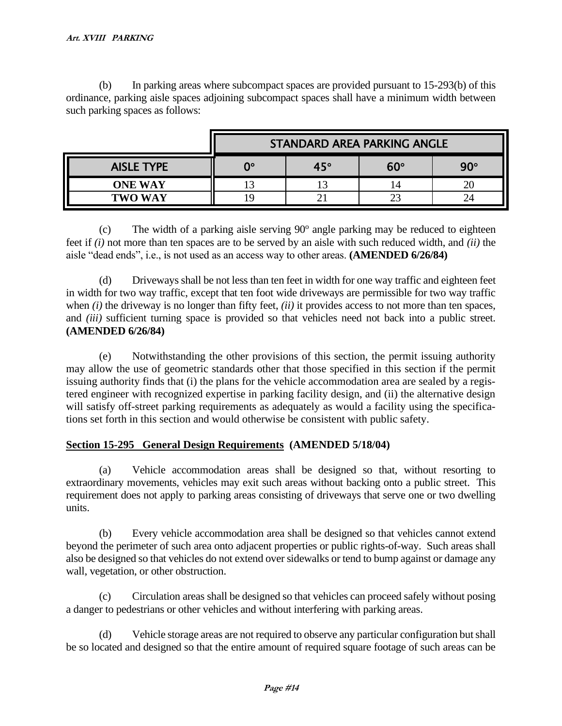(b) In parking areas where subcompact spaces are provided pursuant to 15-293(b) of this ordinance, parking aisle spaces adjoining subcompact spaces shall have a minimum width between such parking spaces as follows:

|                   | STANDARD AREA PARKING ANGLE |              |            |            |
|-------------------|-----------------------------|--------------|------------|------------|
| <b>AISLE TYPE</b> | റം                          | $45^{\circ}$ | $60^\circ$ | $90^\circ$ |
| <b>ONE WAY</b>    |                             |              | 14         | 20         |
| <b>TWO WAY</b>    |                             |              |            | 24         |

 $(c)$  The width of a parking aisle serving  $90^{\circ}$  angle parking may be reduced to eighteen feet if *(i)* not more than ten spaces are to be served by an aisle with such reduced width, and *(ii)* the aisle "dead ends", i.e., is not used as an access way to other areas. **(AMENDED 6/26/84)**

(d) Driveways shall be not less than ten feet in width for one way traffic and eighteen feet in width for two way traffic, except that ten foot wide driveways are permissible for two way traffic when *(i)* the driveway is no longer than fifty feet, *(ii)* it provides access to not more than ten spaces, and *(iii)* sufficient turning space is provided so that vehicles need not back into a public street. **(AMENDED 6/26/84)**

(e) Notwithstanding the other provisions of this section, the permit issuing authority may allow the use of geometric standards other that those specified in this section if the permit issuing authority finds that (i) the plans for the vehicle accommodation area are sealed by a registered engineer with recognized expertise in parking facility design, and (ii) the alternative design will satisfy off-street parking requirements as adequately as would a facility using the specifications set forth in this section and would otherwise be consistent with public safety.

# **Section 15-295 General Design Requirements (AMENDED 5/18/04)**

(a) Vehicle accommodation areas shall be designed so that, without resorting to extraordinary movements, vehicles may exit such areas without backing onto a public street. This requirement does not apply to parking areas consisting of driveways that serve one or two dwelling units.

(b) Every vehicle accommodation area shall be designed so that vehicles cannot extend beyond the perimeter of such area onto adjacent properties or public rights-of-way. Such areas shall also be designed so that vehicles do not extend over sidewalks or tend to bump against or damage any wall, vegetation, or other obstruction.

(c) Circulation areas shall be designed so that vehicles can proceed safely without posing a danger to pedestrians or other vehicles and without interfering with parking areas.

(d) Vehicle storage areas are not required to observe any particular configuration but shall be so located and designed so that the entire amount of required square footage of such areas can be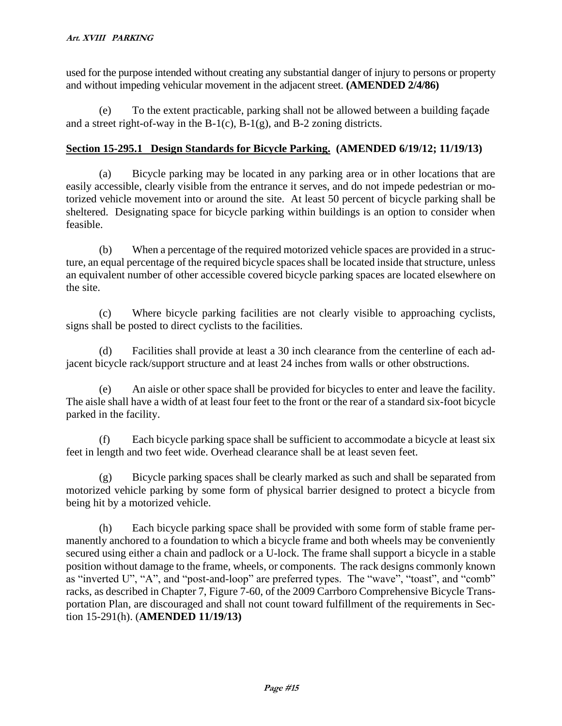used for the purpose intended without creating any substantial danger of injury to persons or property and without impeding vehicular movement in the adjacent street. **(AMENDED 2/4/86)**

(e) To the extent practicable, parking shall not be allowed between a building façade and a street right-of-way in the  $B-1(c)$ ,  $B-1(g)$ , and  $B-2$  zoning districts.

# **Section 15-295.1 Design Standards for Bicycle Parking. (AMENDED 6/19/12; 11/19/13)**

(a) Bicycle parking may be located in any parking area or in other locations that are easily accessible, clearly visible from the entrance it serves, and do not impede pedestrian or motorized vehicle movement into or around the site. At least 50 percent of bicycle parking shall be sheltered. Designating space for bicycle parking within buildings is an option to consider when feasible.

(b) When a percentage of the required motorized vehicle spaces are provided in a structure, an equal percentage of the required bicycle spaces shall be located inside that structure, unless an equivalent number of other accessible covered bicycle parking spaces are located elsewhere on the site.

(c) Where bicycle parking facilities are not clearly visible to approaching cyclists, signs shall be posted to direct cyclists to the facilities.

(d) Facilities shall provide at least a 30 inch clearance from the centerline of each adjacent bicycle rack/support structure and at least 24 inches from walls or other obstructions.

(e) An aisle or other space shall be provided for bicycles to enter and leave the facility. The aisle shall have a width of at least four feet to the front or the rear of a standard six-foot bicycle parked in the facility.

(f) Each bicycle parking space shall be sufficient to accommodate a bicycle at least six feet in length and two feet wide. Overhead clearance shall be at least seven feet.

(g) Bicycle parking spaces shall be clearly marked as such and shall be separated from motorized vehicle parking by some form of physical barrier designed to protect a bicycle from being hit by a motorized vehicle.

(h) Each bicycle parking space shall be provided with some form of stable frame permanently anchored to a foundation to which a bicycle frame and both wheels may be conveniently secured using either a chain and padlock or a U-lock. The frame shall support a bicycle in a stable position without damage to the frame, wheels, or components. The rack designs commonly known as "inverted U", "A", and "post-and-loop" are preferred types. The "wave", "toast", and "comb" racks, as described in Chapter 7, Figure 7-60, of the 2009 Carrboro Comprehensive Bicycle Transportation Plan, are discouraged and shall not count toward fulfillment of the requirements in Section 15-291(h). (**AMENDED 11/19/13)**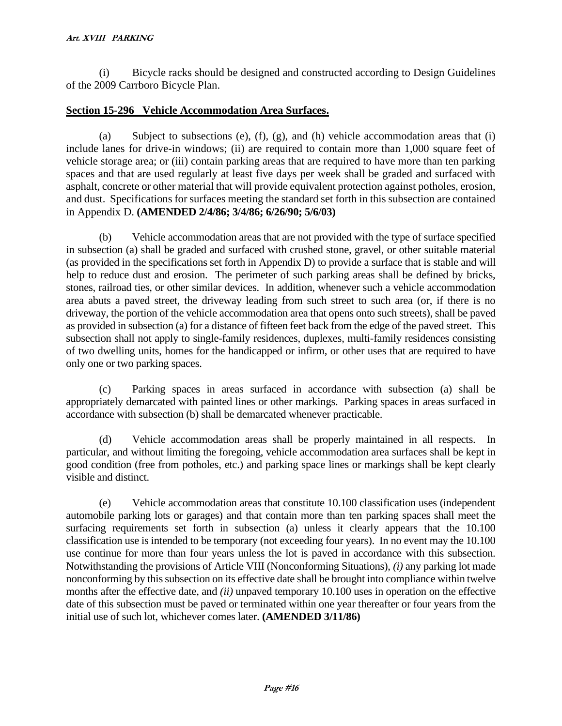(i) Bicycle racks should be designed and constructed according to Design Guidelines of the 2009 Carrboro Bicycle Plan.

## **Section 15-296 Vehicle Accommodation Area Surfaces.**

(a) Subject to subsections (e), (f), (g), and (h) vehicle accommodation areas that (i) include lanes for drive-in windows; (ii) are required to contain more than 1,000 square feet of vehicle storage area; or (iii) contain parking areas that are required to have more than ten parking spaces and that are used regularly at least five days per week shall be graded and surfaced with asphalt, concrete or other material that will provide equivalent protection against potholes, erosion, and dust. Specifications for surfaces meeting the standard set forth in this subsection are contained in Appendix D. **(AMENDED 2/4/86; 3/4/86; 6/26/90; 5/6/03)**

(b) Vehicle accommodation areas that are not provided with the type of surface specified in subsection (a) shall be graded and surfaced with crushed stone, gravel, or other suitable material (as provided in the specifications set forth in Appendix D) to provide a surface that is stable and will help to reduce dust and erosion. The perimeter of such parking areas shall be defined by bricks, stones, railroad ties, or other similar devices. In addition, whenever such a vehicle accommodation area abuts a paved street, the driveway leading from such street to such area (or, if there is no driveway, the portion of the vehicle accommodation area that opens onto such streets), shall be paved as provided in subsection (a) for a distance of fifteen feet back from the edge of the paved street. This subsection shall not apply to single-family residences, duplexes, multi-family residences consisting of two dwelling units, homes for the handicapped or infirm, or other uses that are required to have only one or two parking spaces.

(c) Parking spaces in areas surfaced in accordance with subsection (a) shall be appropriately demarcated with painted lines or other markings. Parking spaces in areas surfaced in accordance with subsection (b) shall be demarcated whenever practicable.

(d) Vehicle accommodation areas shall be properly maintained in all respects. In particular, and without limiting the foregoing, vehicle accommodation area surfaces shall be kept in good condition (free from potholes, etc.) and parking space lines or markings shall be kept clearly visible and distinct.

(e) Vehicle accommodation areas that constitute 10.100 classification uses (independent automobile parking lots or garages) and that contain more than ten parking spaces shall meet the surfacing requirements set forth in subsection (a) unless it clearly appears that the 10.100 classification use is intended to be temporary (not exceeding four years). In no event may the 10.100 use continue for more than four years unless the lot is paved in accordance with this subsection. Notwithstanding the provisions of Article VIII (Nonconforming Situations), *(i)* any parking lot made nonconforming by this subsection on its effective date shall be brought into compliance within twelve months after the effective date, and *(ii)* unpaved temporary 10.100 uses in operation on the effective date of this subsection must be paved or terminated within one year thereafter or four years from the initial use of such lot, whichever comes later. **(AMENDED 3/11/86)**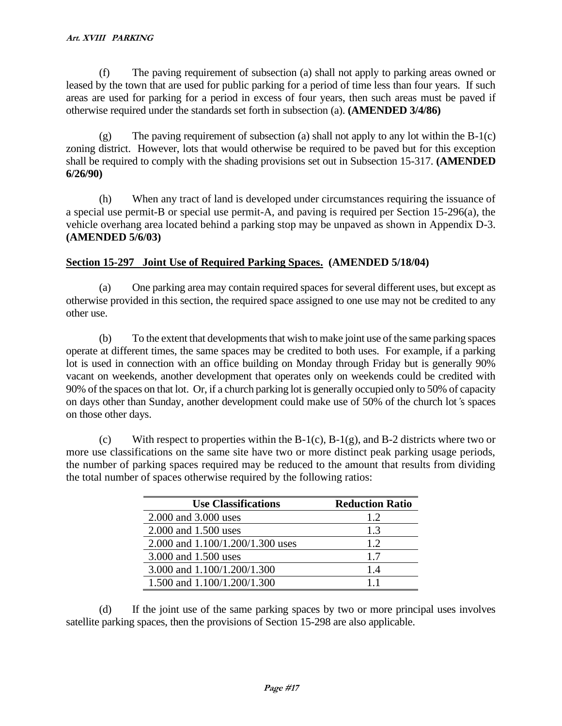(f) The paving requirement of subsection (a) shall not apply to parking areas owned or leased by the town that are used for public parking for a period of time less than four years. If such areas are used for parking for a period in excess of four years, then such areas must be paved if otherwise required under the standards set forth in subsection (a). **(AMENDED 3/4/86)**

(g) The paving requirement of subsection (a) shall not apply to any lot within the B-1(c) zoning district. However, lots that would otherwise be required to be paved but for this exception shall be required to comply with the shading provisions set out in Subsection 15-317. **(AMENDED 6/26/90)**

(h) When any tract of land is developed under circumstances requiring the issuance of a special use permit-B or special use permit-A, and paving is required per Section 15-296(a), the vehicle overhang area located behind a parking stop may be unpaved as shown in Appendix D-3. **(AMENDED 5/6/03)**

# **Section 15-297 Joint Use of Required Parking Spaces. (AMENDED 5/18/04)**

(a) One parking area may contain required spaces for several different uses, but except as otherwise provided in this section, the required space assigned to one use may not be credited to any other use.

(b) To the extent that developments that wish to make joint use of the same parking spaces operate at different times, the same spaces may be credited to both uses. For example, if a parking lot is used in connection with an office building on Monday through Friday but is generally 90% vacant on weekends, another development that operates only on weekends could be credited with 90% of the spaces on that lot. Or, if a church parking lot is generally occupied only to 50% of capacity on days other than Sunday, another development could make use of 50% of the church lot*'*s spaces on those other days.

(c) With respect to properties within the  $B-1(c)$ ,  $B-1(g)$ , and  $B-2$  districts where two or more use classifications on the same site have two or more distinct peak parking usage periods, the number of parking spaces required may be reduced to the amount that results from dividing the total number of spaces otherwise required by the following ratios:

| <b>Use Classifications</b>       | <b>Reduction Ratio</b> |
|----------------------------------|------------------------|
| 2.000 and 3.000 uses             | 1.2.                   |
| 2.000 and 1.500 uses             | 1.3                    |
| 2.000 and 1.100/1.200/1.300 uses | 1.2.                   |
| 3.000 and 1.500 uses             | 1.7                    |
| 3.000 and 1.100/1.200/1.300      | 14                     |
| 1.500 and 1.100/1.200/1.300      | 11                     |

(d) If the joint use of the same parking spaces by two or more principal uses involves satellite parking spaces, then the provisions of Section 15-298 are also applicable.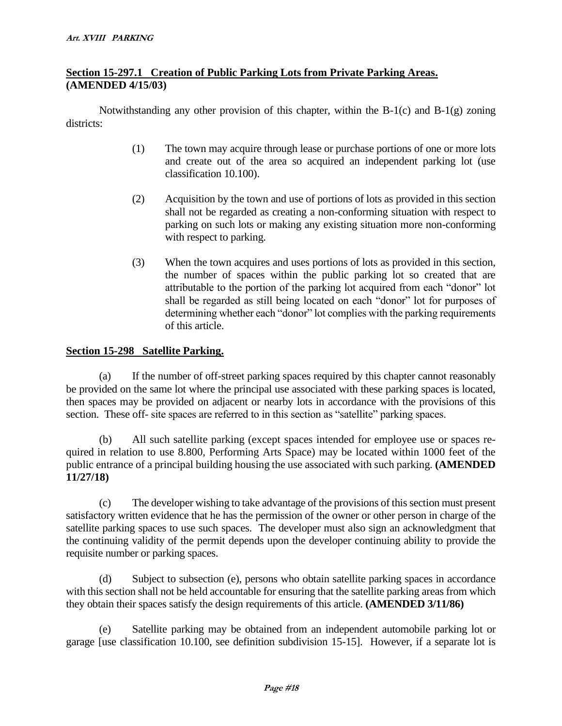# **Section 15-297.1 Creation of Public Parking Lots from Private Parking Areas. (AMENDED 4/15/03)**

Notwithstanding any other provision of this chapter, within the B-1(c) and B-1(g) zoning districts:

- (1) The town may acquire through lease or purchase portions of one or more lots and create out of the area so acquired an independent parking lot (use classification 10.100).
- (2) Acquisition by the town and use of portions of lots as provided in this section shall not be regarded as creating a non-conforming situation with respect to parking on such lots or making any existing situation more non-conforming with respect to parking.
- (3) When the town acquires and uses portions of lots as provided in this section, the number of spaces within the public parking lot so created that are attributable to the portion of the parking lot acquired from each "donor" lot shall be regarded as still being located on each "donor" lot for purposes of determining whether each "donor" lot complies with the parking requirements of this article.

## **Section 15-298 Satellite Parking.**

(a) If the number of off-street parking spaces required by this chapter cannot reasonably be provided on the same lot where the principal use associated with these parking spaces is located, then spaces may be provided on adjacent or nearby lots in accordance with the provisions of this section. These off- site spaces are referred to in this section as "satellite" parking spaces.

(b) All such satellite parking (except spaces intended for employee use or spaces required in relation to use 8.800, Performing Arts Space) may be located within 1000 feet of the public entrance of a principal building housing the use associated with such parking. **(AMENDED 11/27/18)**

(c) The developer wishing to take advantage of the provisions of this section must present satisfactory written evidence that he has the permission of the owner or other person in charge of the satellite parking spaces to use such spaces. The developer must also sign an acknowledgment that the continuing validity of the permit depends upon the developer continuing ability to provide the requisite number or parking spaces.

(d) Subject to subsection (e), persons who obtain satellite parking spaces in accordance with this section shall not be held accountable for ensuring that the satellite parking areas from which they obtain their spaces satisfy the design requirements of this article. **(AMENDED 3/11/86)**

(e) Satellite parking may be obtained from an independent automobile parking lot or garage [use classification 10.100, see definition subdivision 15-15]. However, if a separate lot is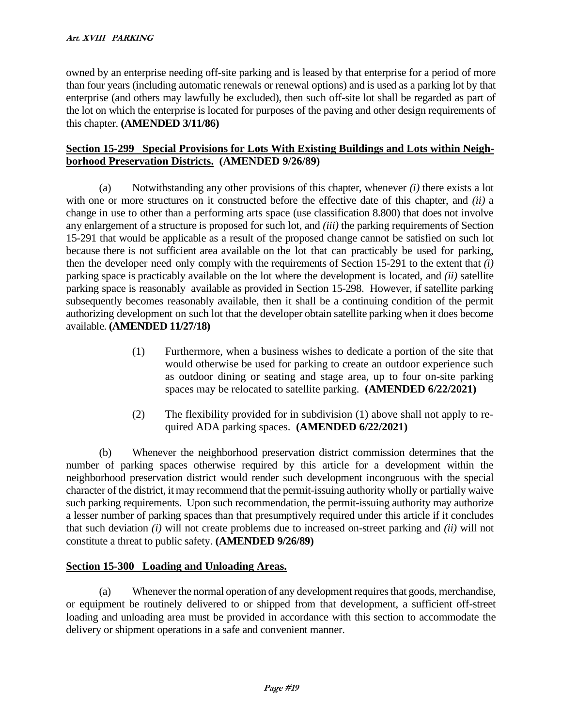owned by an enterprise needing off-site parking and is leased by that enterprise for a period of more than four years (including automatic renewals or renewal options) and is used as a parking lot by that enterprise (and others may lawfully be excluded), then such off-site lot shall be regarded as part of the lot on which the enterprise is located for purposes of the paving and other design requirements of this chapter. **(AMENDED 3/11/86)**

# **Section 15-299 Special Provisions for Lots With Existing Buildings and Lots within Neighborhood Preservation Districts. (AMENDED 9/26/89)**

(a) Notwithstanding any other provisions of this chapter, whenever *(i)* there exists a lot with one or more structures on it constructed before the effective date of this chapter, and *(ii)* a change in use to other than a performing arts space (use classification 8.800) that does not involve any enlargement of a structure is proposed for such lot, and *(iii)* the parking requirements of Section 15-291 that would be applicable as a result of the proposed change cannot be satisfied on such lot because there is not sufficient area available on the lot that can practicably be used for parking, then the developer need only comply with the requirements of Section 15-291 to the extent that *(i)*  parking space is practicably available on the lot where the development is located, and *(ii)* satellite parking space is reasonably available as provided in Section 15-298. However, if satellite parking subsequently becomes reasonably available, then it shall be a continuing condition of the permit authorizing development on such lot that the developer obtain satellite parking when it does become available. **(AMENDED 11/27/18)**

- (1) Furthermore, when a business wishes to dedicate a portion of the site that would otherwise be used for parking to create an outdoor experience such as outdoor dining or seating and stage area, up to four on-site parking spaces may be relocated to satellite parking. **(AMENDED 6/22/2021)**
- (2) The flexibility provided for in subdivision (1) above shall not apply to required ADA parking spaces. **(AMENDED 6/22/2021)**

(b) Whenever the neighborhood preservation district commission determines that the number of parking spaces otherwise required by this article for a development within the neighborhood preservation district would render such development incongruous with the special character of the district, it may recommend that the permit-issuing authority wholly or partially waive such parking requirements. Upon such recommendation, the permit-issuing authority may authorize a lesser number of parking spaces than that presumptively required under this article if it concludes that such deviation *(i)* will not create problems due to increased on-street parking and *(ii)* will not constitute a threat to public safety. **(AMENDED 9/26/89)**

# **Section 15-300 Loading and Unloading Areas.**

(a) Whenever the normal operation of any development requires that goods, merchandise, or equipment be routinely delivered to or shipped from that development, a sufficient off-street loading and unloading area must be provided in accordance with this section to accommodate the delivery or shipment operations in a safe and convenient manner.